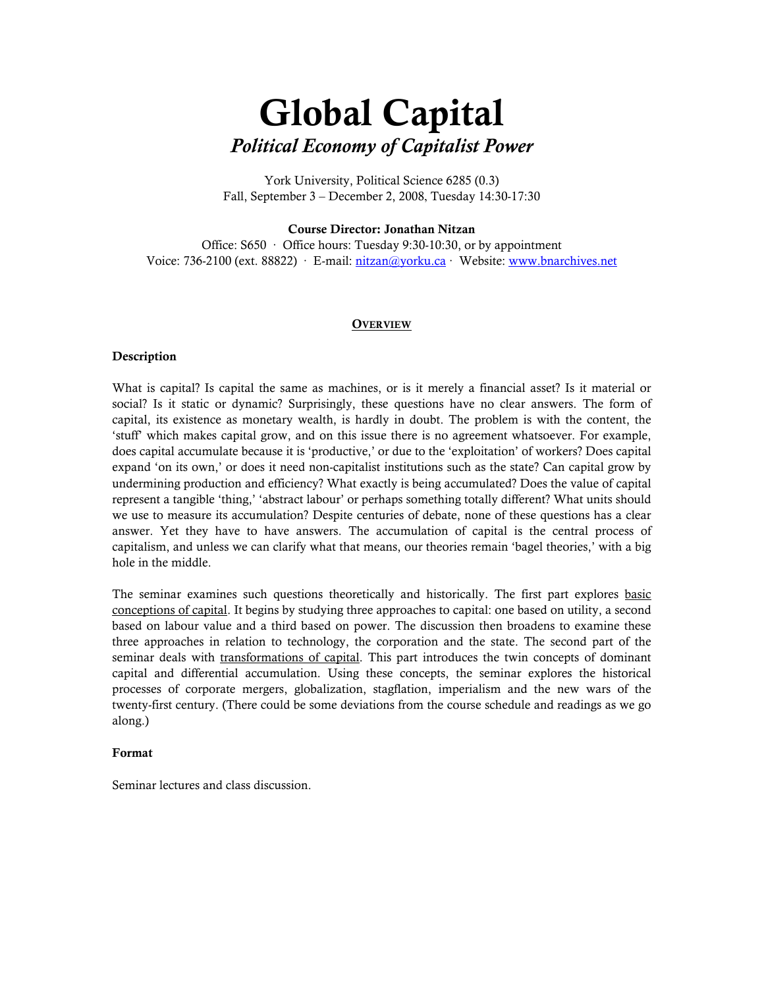# Global Capital Political Economy of Capitalist Power

York University, Political Science 6285 (0.3) Fall, September 3 – December 2, 2008, Tuesday 14:30-17:30

#### Course Director: Jonathan Nitzan

Office: S650 · Office hours: Tuesday 9:30-10:30, or by appointment Voice: 736-2100 (ext. 88822) · E-mail: nitzan@yorku.ca · Website: www.bnarchives.net

#### **OVERVIEW**

#### **Description**

What is capital? Is capital the same as machines, or is it merely a financial asset? Is it material or social? Is it static or dynamic? Surprisingly, these questions have no clear answers. The form of capital, its existence as monetary wealth, is hardly in doubt. The problem is with the content, the 'stuff' which makes capital grow, and on this issue there is no agreement whatsoever. For example, does capital accumulate because it is 'productive,' or due to the 'exploitation' of workers? Does capital expand 'on its own,' or does it need non-capitalist institutions such as the state? Can capital grow by undermining production and efficiency? What exactly is being accumulated? Does the value of capital represent a tangible 'thing,' 'abstract labour' or perhaps something totally different? What units should we use to measure its accumulation? Despite centuries of debate, none of these questions has a clear answer. Yet they have to have answers. The accumulation of capital is the central process of capitalism, and unless we can clarify what that means, our theories remain 'bagel theories,' with a big hole in the middle.

The seminar examines such questions theoretically and historically. The first part explores basic conceptions of capital. It begins by studying three approaches to capital: one based on utility, a second based on labour value and a third based on power. The discussion then broadens to examine these three approaches in relation to technology, the corporation and the state. The second part of the seminar deals with transformations of capital. This part introduces the twin concepts of dominant capital and differential accumulation. Using these concepts, the seminar explores the historical processes of corporate mergers, globalization, stagflation, imperialism and the new wars of the twenty-first century. (There could be some deviations from the course schedule and readings as we go along.)

#### Format

Seminar lectures and class discussion.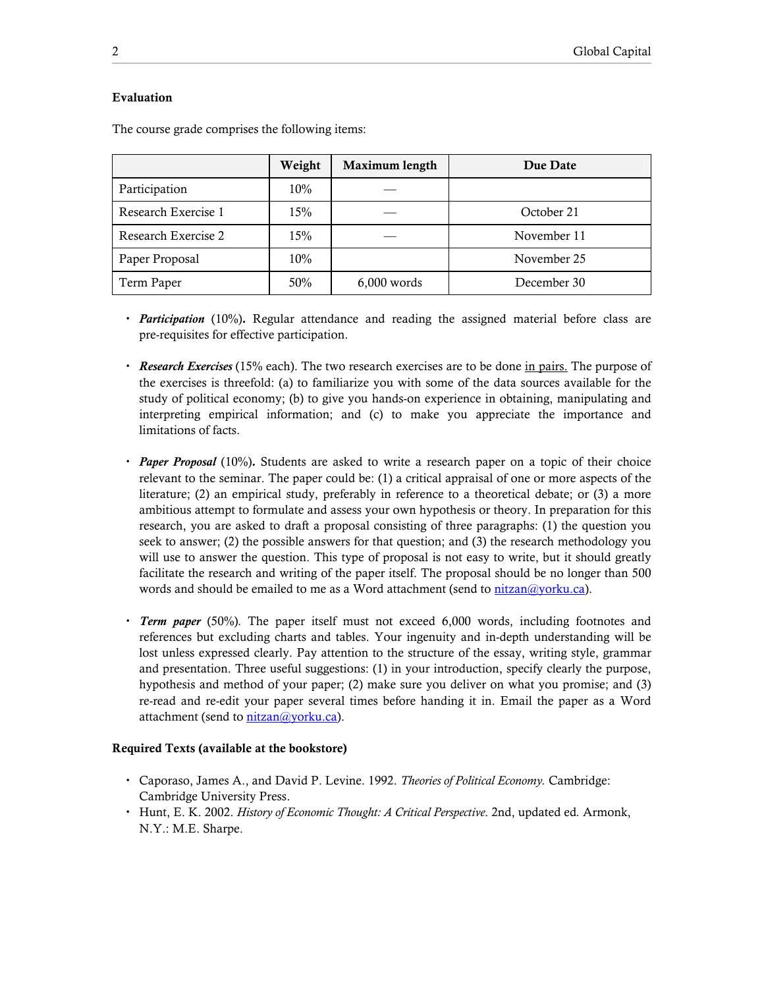## Evaluation

|                     | Weight | Maximum length | Due Date    |
|---------------------|--------|----------------|-------------|
| Participation       | 10%    |                |             |
| Research Exercise 1 | 15%    |                | October 21  |
| Research Exercise 2 | 15%    |                | November 11 |
| Paper Proposal      | 10%    |                | November 25 |
| Term Paper          | 50%    | $6,000$ words  | December 30 |

The course grade comprises the following items:

- *Participation* (10%). Regular attendance and reading the assigned material before class are pre-requisites for effective participation.
- Research Exercises (15% each). The two research exercises are to be done in pairs. The purpose of the exercises is threefold: (a) to familiarize you with some of the data sources available for the study of political economy; (b) to give you hands-on experience in obtaining, manipulating and interpreting empirical information; and (c) to make you appreciate the importance and limitations of facts.
- Paper Proposal (10%). Students are asked to write a research paper on a topic of their choice relevant to the seminar. The paper could be: (1) a critical appraisal of one or more aspects of the literature; (2) an empirical study, preferably in reference to a theoretical debate; or (3) a more ambitious attempt to formulate and assess your own hypothesis or theory. In preparation for this research, you are asked to draft a proposal consisting of three paragraphs: (1) the question you seek to answer; (2) the possible answers for that question; and (3) the research methodology you will use to answer the question. This type of proposal is not easy to write, but it should greatly facilitate the research and writing of the paper itself. The proposal should be no longer than 500 words and should be emailed to me as a Word attachment (send to nitzan@yorku.ca).
- **Term paper** (50%). The paper itself must not exceed 6,000 words, including footnotes and references but excluding charts and tables. Your ingenuity and in-depth understanding will be lost unless expressed clearly. Pay attention to the structure of the essay, writing style, grammar and presentation. Three useful suggestions: (1) in your introduction, specify clearly the purpose, hypothesis and method of your paper; (2) make sure you deliver on what you promise; and (3) re-read and re-edit your paper several times before handing it in. Email the paper as a Word attachment (send to nitzan@yorku.ca).

### Required Texts (available at the bookstore)

- Caporaso, James A., and David P. Levine. 1992. Theories of Political Economy. Cambridge: Cambridge University Press.
- Hunt, E. K. 2002. History of Economic Thought: A Critical Perspective. 2nd, updated ed. Armonk, N.Y.: M.E. Sharpe.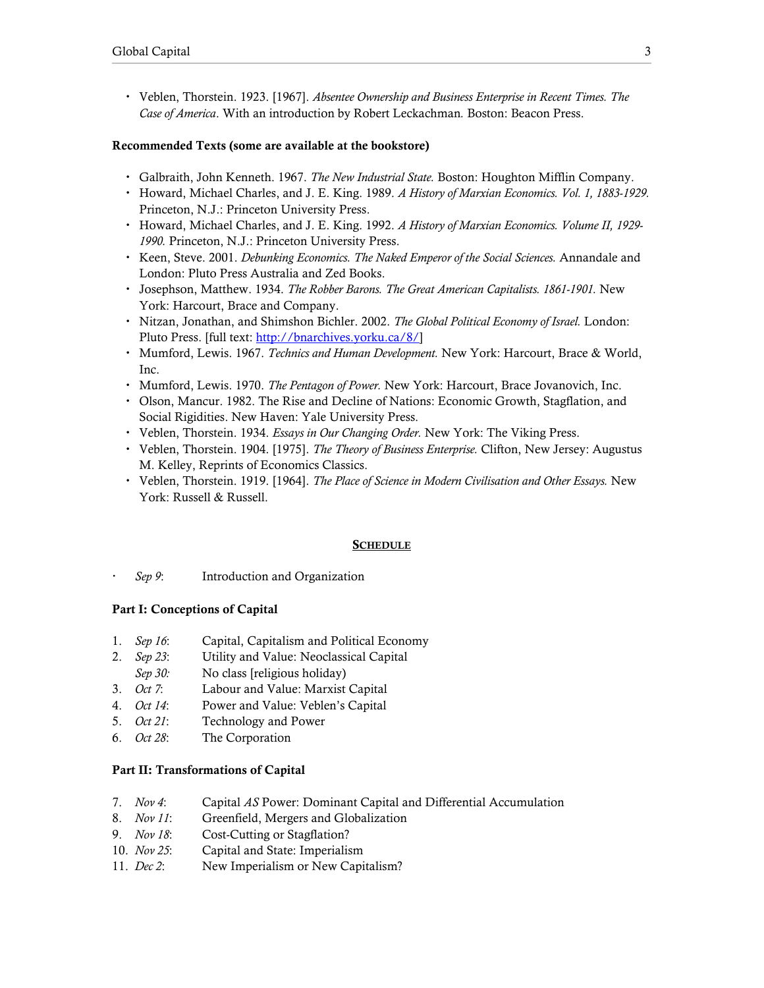Veblen, Thorstein. 1923. [1967]. Absentee Ownership and Business Enterprise in Recent Times. The Case of America. With an introduction by Robert Leckachman. Boston: Beacon Press.

#### Recommended Texts (some are available at the bookstore)

- Galbraith, John Kenneth. 1967. The New Industrial State. Boston: Houghton Mifflin Company.
- Howard, Michael Charles, and J. E. King. 1989. A History of Marxian Economics. Vol. 1, 1883-1929. Princeton, N.J.: Princeton University Press.
- Howard, Michael Charles, and J. E. King. 1992. A History of Marxian Economics. Volume II, 1929- 1990. Princeton, N.J.: Princeton University Press.
- Keen, Steve. 2001. Debunking Economics. The Naked Emperor of the Social Sciences. Annandale and London: Pluto Press Australia and Zed Books.
- Josephson, Matthew. 1934. The Robber Barons. The Great American Capitalists. 1861-1901. New York: Harcourt, Brace and Company.
- Nitzan, Jonathan, and Shimshon Bichler. 2002. The Global Political Economy of Israel. London: Pluto Press. [full text: http://bnarchives.yorku.ca/8/]
- Mumford, Lewis. 1967. Technics and Human Development. New York: Harcourt, Brace & World, Inc.
- Mumford, Lewis. 1970. The Pentagon of Power. New York: Harcourt, Brace Jovanovich, Inc.
- Olson, Mancur. 1982. The Rise and Decline of Nations: Economic Growth, Stagflation, and Social Rigidities. New Haven: Yale University Press.
- Veblen, Thorstein. 1934. Essays in Our Changing Order. New York: The Viking Press.
- Veblen, Thorstein. 1904. [1975]. *The Theory of Business Enterprise*. Clifton, New Jersey: Augustus M. Kelley, Reprints of Economics Classics.
- Veblen, Thorstein. 1919. [1964]. The Place of Science in Modern Civilisation and Other Essays. New York: Russell & Russell.

#### **SCHEDULE**

Sep 9: Introduction and Organization

### Part I: Conceptions of Capital

- 1. Sep 16: Capital, Capitalism and Political Economy
- 2. Sep 23: Utility and Value: Neoclassical Capital
- Sep 30: No class [religious holiday]
- 3. *Oct 7*: Labour and Value: Marxist Capital
- 4. Oct 14: Power and Value: Veblen's Capital
- 5. *Oct 21*: Technology and Power
- 6. Oct 28: The Corporation

#### Part II: Transformations of Capital

- 7. Nov 4: Capital AS Power: Dominant Capital and Differential Accumulation
- 8. Nov 11: Greenfield, Mergers and Globalization
- 9. *Nov 18*: Cost-Cutting or Stagflation?
- 10. Nov 25: Capital and State: Imperialism
- 11. *Dec 2*: New Imperialism or New Capitalism?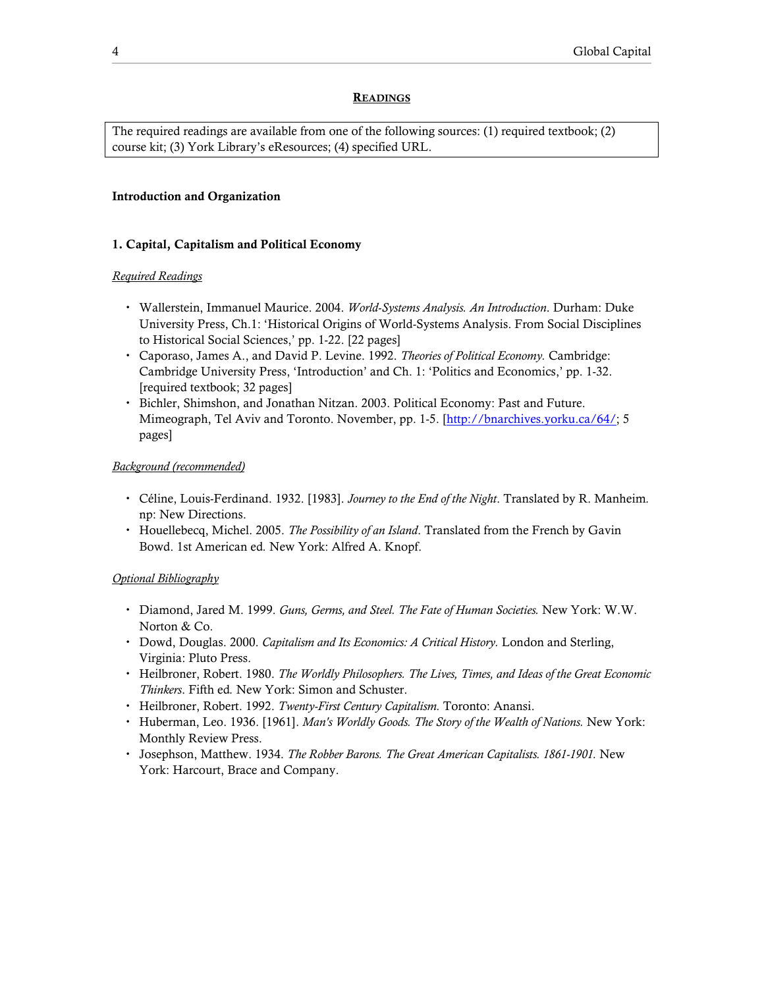#### **READINGS**

The required readings are available from one of the following sources: (1) required textbook; (2) course kit; (3) York Library's eResources; (4) specified URL.

#### Introduction and Organization

#### 1. Capital, Capitalism and Political Economy

#### Required Readings

- Wallerstein, Immanuel Maurice. 2004. World-Systems Analysis. An Introduction. Durham: Duke University Press, Ch.1: 'Historical Origins of World-Systems Analysis. From Social Disciplines to Historical Social Sciences,' pp. 1-22. [22 pages]
- Caporaso, James A., and David P. Levine. 1992. Theories of Political Economy. Cambridge: Cambridge University Press, 'Introduction' and Ch. 1: 'Politics and Economics,' pp. 1-32. [required textbook; 32 pages]
- Bichler, Shimshon, and Jonathan Nitzan. 2003. Political Economy: Past and Future. Mimeograph, Tel Aviv and Toronto. November, pp. 1-5. [http://bnarchives.yorku.ca/64/; 5 pages]

## Background (recommended)

- Céline, Louis-Ferdinand. 1932. [1983]. Journey to the End of the Night. Translated by R. Manheim. np: New Directions.
- Houellebecq, Michel. 2005. The Possibility of an Island. Translated from the French by Gavin Bowd. 1st American ed. New York: Alfred A. Knopf.

- Diamond, Jared M. 1999. Guns, Germs, and Steel. The Fate of Human Societies. New York: W.W. Norton & Co.
- Dowd, Douglas. 2000. Capitalism and Its Economics: A Critical History. London and Sterling, Virginia: Pluto Press.
- Heilbroner, Robert. 1980. The Worldly Philosophers. The Lives, Times, and Ideas of the Great Economic Thinkers. Fifth ed. New York: Simon and Schuster.
- Heilbroner, Robert. 1992. Twenty-First Century Capitalism. Toronto: Anansi.
- Huberman, Leo. 1936. [1961]. Man's Worldly Goods. The Story of the Wealth of Nations. New York: Monthly Review Press.
- Josephson, Matthew. 1934. The Robber Barons. The Great American Capitalists. 1861-1901. New York: Harcourt, Brace and Company.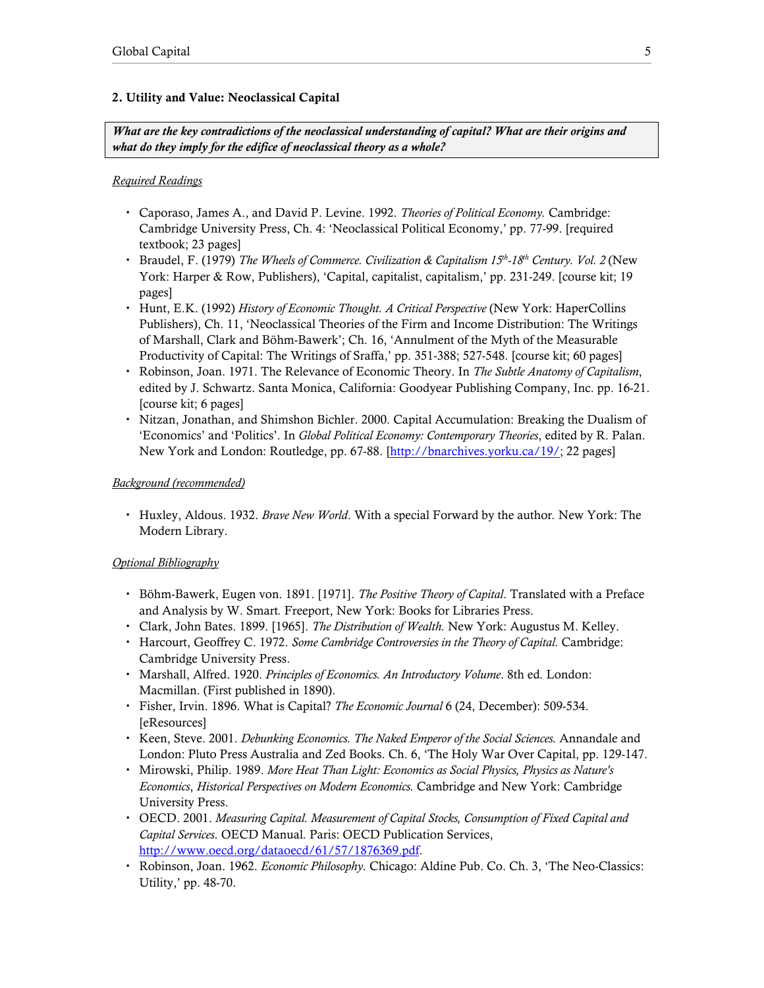## 2. Utility and Value: Neoclassical Capital

What are the key contradictions of the neoclassical understanding of capital? What are their origins and what do they imply for the edifice of neoclassical theory as a whole?

### Required Readings

- Caporaso, James A., and David P. Levine. 1992. Theories of Political Economy. Cambridge: Cambridge University Press, Ch. 4: 'Neoclassical Political Economy,' pp. 77-99. [required textbook; 23 pages]
- Braudel, F. (1979) The Wheels of Commerce. Civilization & Capitalism 15<sup>th</sup>-18<sup>th</sup> Century. Vol. 2 (New York: Harper & Row, Publishers), 'Capital, capitalist, capitalism,' pp. 231-249. [course kit; 19 pages]
- Hunt, E.K. (1992) History of Economic Thought. A Critical Perspective (New York: HaperCollins Publishers), Ch. 11, 'Neoclassical Theories of the Firm and Income Distribution: The Writings of Marshall, Clark and Böhm-Bawerk'; Ch. 16, 'Annulment of the Myth of the Measurable Productivity of Capital: The Writings of Sraffa,' pp. 351-388; 527-548. [course kit; 60 pages]
- Robinson, Joan. 1971. The Relevance of Economic Theory. In The Subtle Anatomy of Capitalism, edited by J. Schwartz. Santa Monica, California: Goodyear Publishing Company, Inc. pp. 16-21. [course kit; 6 pages]
- Nitzan, Jonathan, and Shimshon Bichler. 2000. Capital Accumulation: Breaking the Dualism of 'Economics' and 'Politics'. In Global Political Economy: Contemporary Theories, edited by R. Palan. New York and London: Routledge, pp. 67-88. [http://bnarchives.yorku.ca/19/; 22 pages]

### Background (recommended)

 Huxley, Aldous. 1932. Brave New World. With a special Forward by the author. New York: The Modern Library.

- Böhm-Bawerk, Eugen von. 1891. [1971]. *The Positive Theory of Capital*. Translated with a Preface and Analysis by W. Smart. Freeport, New York: Books for Libraries Press.
- Clark, John Bates. 1899. [1965]. The Distribution of Wealth. New York: Augustus M. Kelley.
- Harcourt, Geoffrey C. 1972. Some Cambridge Controversies in the Theory of Capital. Cambridge: Cambridge University Press.
- Marshall, Alfred. 1920. Principles of Economics. An Introductory Volume. 8th ed. London: Macmillan. (First published in 1890).
- Fisher, Irvin. 1896. What is Capital? The Economic Journal 6 (24, December): 509-534. [eResources]
- Keen, Steve. 2001. *Debunking Economics. The Naked Emperor of the Social Sciences*. Annandale and London: Pluto Press Australia and Zed Books. Ch. 6, 'The Holy War Over Capital, pp. 129-147.
- Mirowski, Philip. 1989. More Heat Than Light: Economics as Social Physics, Physics as Nature's Economics, Historical Perspectives on Modern Economics. Cambridge and New York: Cambridge University Press.
- OECD. 2001. Measuring Capital. Measurement of Capital Stocks, Consumption of Fixed Capital and Capital Services. OECD Manual. Paris: OECD Publication Services, http://www.oecd.org/dataoecd/61/57/1876369.pdf.
- Robinson, Joan. 1962. Economic Philosophy. Chicago: Aldine Pub. Co. Ch. 3, 'The Neo-Classics: Utility,' pp. 48-70.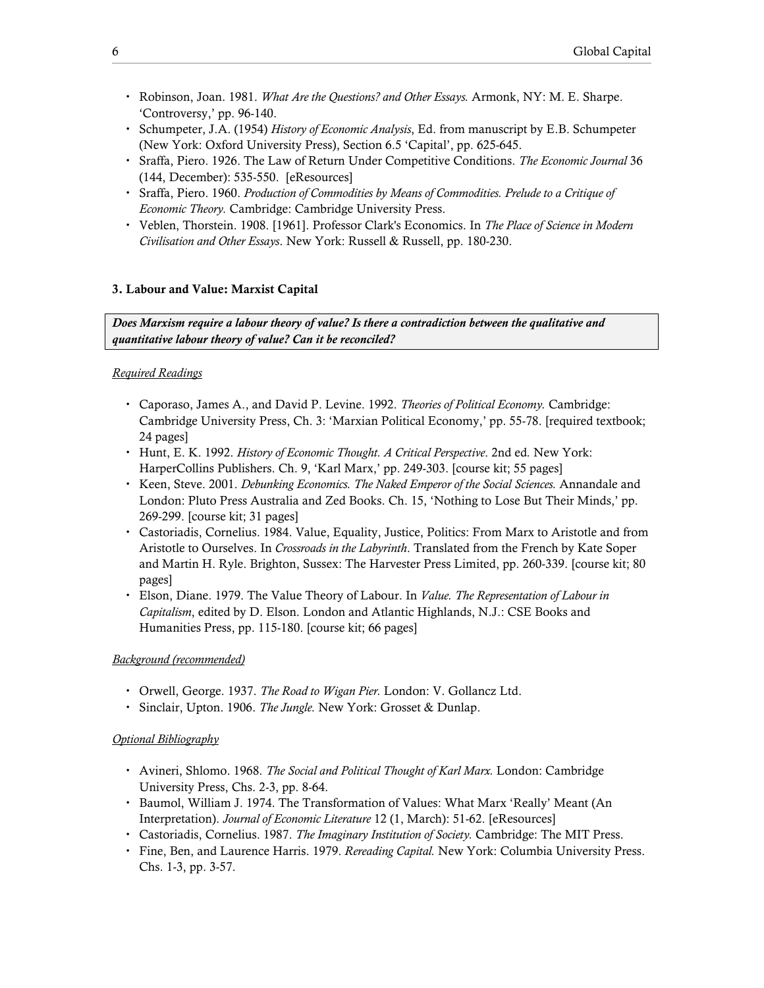- Robinson, Joan. 1981. What Are the Questions? and Other Essays. Armonk, NY: M. E. Sharpe. 'Controversy,' pp. 96-140.
- Schumpeter, J.A. (1954) History of Economic Analysis, Ed. from manuscript by E.B. Schumpeter (New York: Oxford University Press), Section 6.5 'Capital', pp. 625-645.
- Sraffa, Piero. 1926. The Law of Return Under Competitive Conditions. The Economic Journal 36 (144, December): 535-550. [eResources]
- Sraffa, Piero. 1960. Production of Commodities by Means of Commodities. Prelude to a Critique of Economic Theory. Cambridge: Cambridge University Press.
- Veblen, Thorstein. 1908. [1961]. Professor Clark's Economics. In The Place of Science in Modern Civilisation and Other Essays. New York: Russell & Russell, pp. 180-230.

#### 3. Labour and Value: Marxist Capital

Does Marxism require a labour theory of value? Is there a contradiction between the qualitative and quantitative labour theory of value? Can it be reconciled?

#### Required Readings

- Caporaso, James A., and David P. Levine. 1992. Theories of Political Economy. Cambridge: Cambridge University Press, Ch. 3: 'Marxian Political Economy,' pp. 55-78. [required textbook; 24 pages]
- Hunt, E. K. 1992. History of Economic Thought. A Critical Perspective. 2nd ed. New York: HarperCollins Publishers. Ch. 9, 'Karl Marx,' pp. 249-303. [course kit; 55 pages]
- Keen, Steve. 2001. *Debunking Economics. The Naked Emperor of the Social Sciences*. Annandale and London: Pluto Press Australia and Zed Books. Ch. 15, 'Nothing to Lose But Their Minds,' pp. 269-299. [course kit; 31 pages]
- Castoriadis, Cornelius. 1984. Value, Equality, Justice, Politics: From Marx to Aristotle and from Aristotle to Ourselves. In Crossroads in the Labyrinth. Translated from the French by Kate Soper and Martin H. Ryle. Brighton, Sussex: The Harvester Press Limited, pp. 260-339. [course kit; 80 pages]
- Elson, Diane. 1979. The Value Theory of Labour. In Value. The Representation of Labour in Capitalism, edited by D. Elson. London and Atlantic Highlands, N.J.: CSE Books and Humanities Press, pp. 115-180. [course kit; 66 pages]

#### Background (recommended)

- Orwell, George. 1937. The Road to Wigan Pier. London: V. Gollancz Ltd.
- Sinclair, Upton. 1906. The Jungle. New York: Grosset & Dunlap.

- Avineri, Shlomo. 1968. The Social and Political Thought of Karl Marx. London: Cambridge University Press, Chs. 2-3, pp. 8-64.
- Baumol, William J. 1974. The Transformation of Values: What Marx 'Really' Meant (An Interpretation). Journal of Economic Literature 12 (1, March): 51-62. [eResources]
- Castoriadis, Cornelius. 1987. The Imaginary Institution of Society. Cambridge: The MIT Press.
- Fine, Ben, and Laurence Harris. 1979. Rereading Capital. New York: Columbia University Press. Chs. 1-3, pp. 3-57.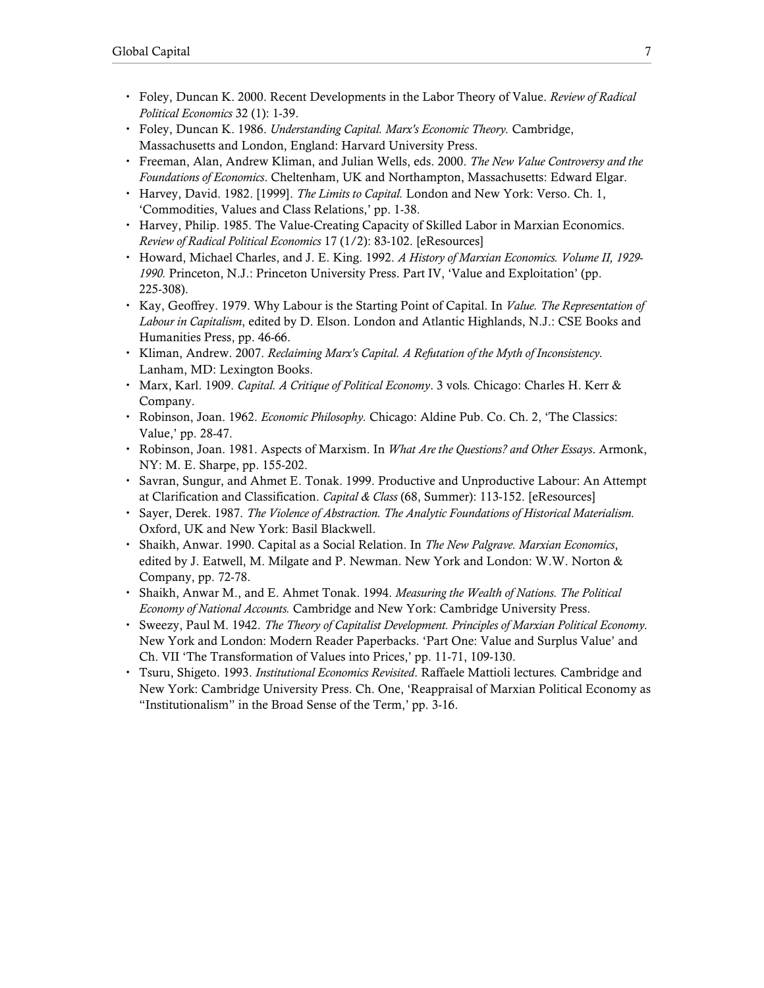- Foley, Duncan K. 2000. Recent Developments in the Labor Theory of Value. Review of Radical Political Economics 32 (1): 1-39.
- Foley, Duncan K. 1986. Understanding Capital. Marx's Economic Theory. Cambridge, Massachusetts and London, England: Harvard University Press.
- Freeman, Alan, Andrew Kliman, and Julian Wells, eds. 2000. The New Value Controversy and the Foundations of Economics. Cheltenham, UK and Northampton, Massachusetts: Edward Elgar.
- Harvey, David. 1982. [1999]. The Limits to Capital. London and New York: Verso. Ch. 1, 'Commodities, Values and Class Relations,' pp. 1-38.
- Harvey, Philip. 1985. The Value-Creating Capacity of Skilled Labor in Marxian Economics. Review of Radical Political Economics 17 (1/2): 83-102. [eResources]
- Howard, Michael Charles, and J. E. King. 1992. A History of Marxian Economics. Volume II, 1929-1990. Princeton, N.J.: Princeton University Press. Part IV, 'Value and Exploitation' (pp. 225-308).
- Kay, Geoffrey. 1979. Why Labour is the Starting Point of Capital. In *Value. The Representation of* Labour in Capitalism, edited by D. Elson. London and Atlantic Highlands, N.J.: CSE Books and Humanities Press, pp. 46-66.
- Kliman, Andrew. 2007. Reclaiming Marx's Capital. A Refutation of the Myth of Inconsistency. Lanham, MD: Lexington Books.
- Marx, Karl. 1909. Capital. A Critique of Political Economy. 3 vols. Chicago: Charles H. Kerr & Company.
- Robinson, Joan. 1962. *Economic Philosophy.* Chicago: Aldine Pub. Co. Ch. 2, 'The Classics: Value,' pp. 28-47.
- Robinson, Joan. 1981. Aspects of Marxism. In What Are the Questions? and Other Essays. Armonk, NY: M. E. Sharpe, pp. 155-202.
- Savran, Sungur, and Ahmet E. Tonak. 1999. Productive and Unproductive Labour: An Attempt at Clarification and Classification. *Capital & Class* (68, Summer): 113-152. [eResources]
- Sayer, Derek. 1987. The Violence of Abstraction. The Analytic Foundations of Historical Materialism. Oxford, UK and New York: Basil Blackwell.
- Shaikh, Anwar. 1990. Capital as a Social Relation. In The New Palgrave. Marxian Economics, edited by J. Eatwell, M. Milgate and P. Newman. New York and London: W.W. Norton  $\&$ Company, pp. 72-78.
- Shaikh, Anwar M., and E. Ahmet Tonak. 1994. Measuring the Wealth of Nations. The Political Economy of National Accounts. Cambridge and New York: Cambridge University Press.
- Sweezy, Paul M. 1942. The Theory of Capitalist Development. Principles of Marxian Political Economy. New York and London: Modern Reader Paperbacks. 'Part One: Value and Surplus Value' and Ch. VII 'The Transformation of Values into Prices,' pp. 11-71, 109-130.
- Tsuru, Shigeto. 1993. Institutional Economics Revisited. Raffaele Mattioli lectures. Cambridge and New York: Cambridge University Press. Ch. One, 'Reappraisal of Marxian Political Economy as "Institutionalism" in the Broad Sense of the Term,' pp. 3-16.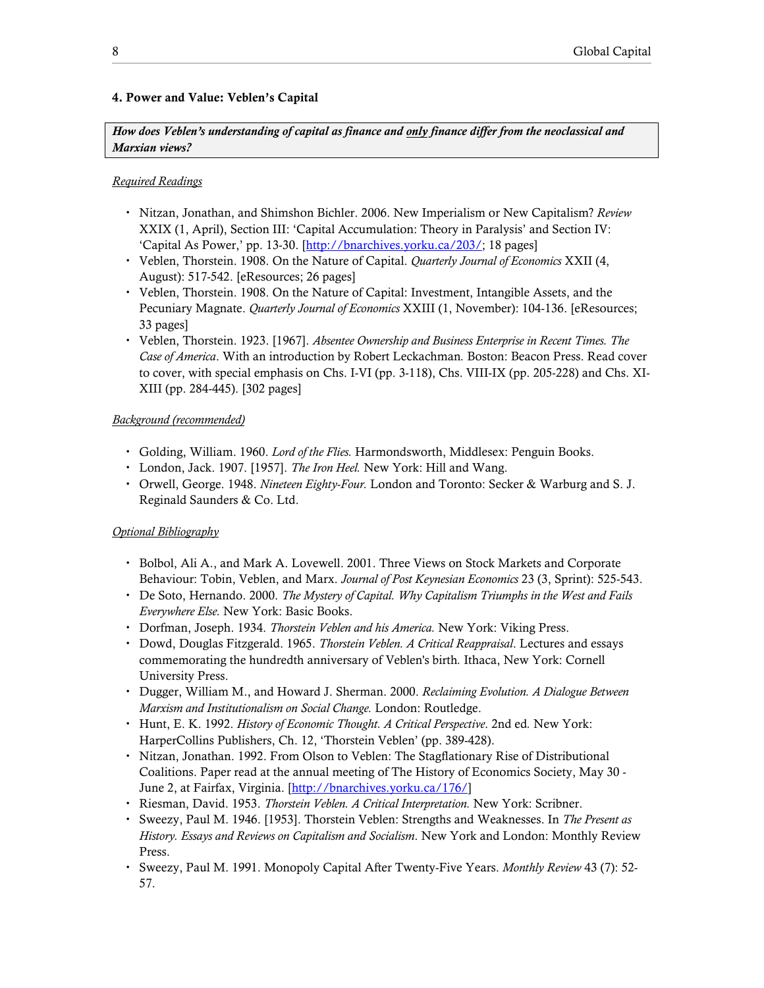## 4. Power and Value: Veblen's Capital

How does Veblen's understanding of capital as finance and only finance differ from the neoclassical and Marxian views?

## Required Readings

- Nitzan, Jonathan, and Shimshon Bichler. 2006. New Imperialism or New Capitalism? Review XXIX (1, April), Section III: 'Capital Accumulation: Theory in Paralysis' and Section IV: 'Capital As Power,' pp. 13-30. [http://bnarchives.yorku.ca/203/; 18 pages]
- Veblen, Thorstein. 1908. On the Nature of Capital. Quarterly Journal of Economics XXII (4, August): 517-542. [eResources; 26 pages]
- Veblen, Thorstein. 1908. On the Nature of Capital: Investment, Intangible Assets, and the Pecuniary Magnate. Quarterly Journal of Economics XXIII (1, November): 104-136. [eResources; 33 pages]
- Veblen, Thorstein. 1923. [1967]. Absentee Ownership and Business Enterprise in Recent Times. The Case of America. With an introduction by Robert Leckachman. Boston: Beacon Press. Read cover to cover, with special emphasis on Chs. I-VI (pp. 3-118), Chs. VIII-IX (pp. 205-228) and Chs. XI-XIII (pp. 284-445). [302 pages]

## Background (recommended)

- Golding, William. 1960. Lord of the Flies. Harmondsworth, Middlesex: Penguin Books.
- London, Jack. 1907. [1957]. *The Iron Heel*. New York: Hill and Wang.
- Orwell, George. 1948. Nineteen Eighty-Four. London and Toronto: Secker & Warburg and S. J. Reginald Saunders & Co. Ltd.

- Bolbol, Ali A., and Mark A. Lovewell. 2001. Three Views on Stock Markets and Corporate Behaviour: Tobin, Veblen, and Marx. Journal of Post Keynesian Economics 23 (3, Sprint): 525-543.
- De Soto, Hernando. 2000. The Mystery of Capital. Why Capitalism Triumphs in the West and Fails Everywhere Else. New York: Basic Books.
- Dorfman, Joseph. 1934. Thorstein Veblen and his America. New York: Viking Press.
- Dowd, Douglas Fitzgerald. 1965. Thorstein Veblen. A Critical Reappraisal. Lectures and essays commemorating the hundredth anniversary of Veblen's birth. Ithaca, New York: Cornell University Press.
- Dugger, William M., and Howard J. Sherman. 2000. Reclaiming Evolution. A Dialogue Between Marxism and Institutionalism on Social Change. London: Routledge.
- Hunt, E. K. 1992. History of Economic Thought. A Critical Perspective. 2nd ed. New York: HarperCollins Publishers, Ch. 12, 'Thorstein Veblen' (pp. 389-428).
- Nitzan, Jonathan. 1992. From Olson to Veblen: The Stagflationary Rise of Distributional Coalitions. Paper read at the annual meeting of The History of Economics Society, May 30 - June 2, at Fairfax, Virginia. [http://bnarchives.yorku.ca/176/]
- Riesman, David. 1953. Thorstein Veblen. A Critical Interpretation. New York: Scribner.
- Sweezy, Paul M. 1946. [1953]. Thorstein Veblen: Strengths and Weaknesses. In The Present as History. Essays and Reviews on Capitalism and Socialism. New York and London: Monthly Review Press.
- Sweezy, Paul M. 1991. Monopoly Capital After Twenty-Five Years. Monthly Review 43 (7): 52- 57.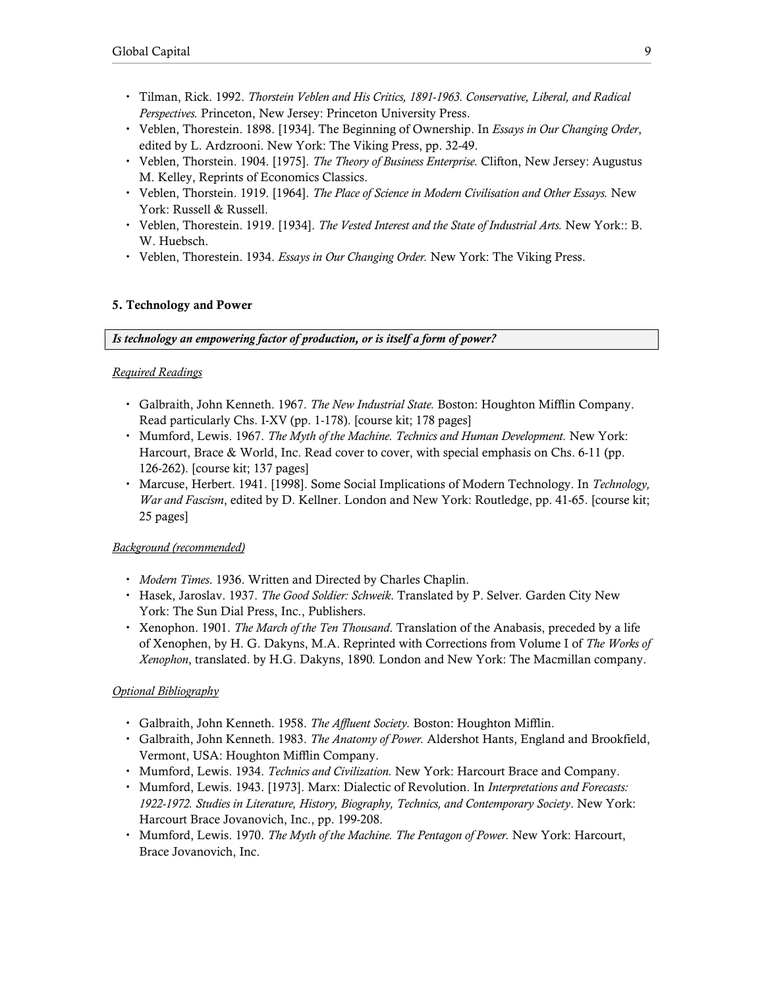- Tilman, Rick. 1992. Thorstein Veblen and His Critics, 1891-1963. Conservative, Liberal, and Radical Perspectives. Princeton, New Jersey: Princeton University Press.
- Veblen, Thorestein. 1898. [1934]. The Beginning of Ownership. In Essays in Our Changing Order, edited by L. Ardzrooni. New York: The Viking Press, pp. 32-49.
- Veblen, Thorstein. 1904. [1975]. *The Theory of Business Enterprise*. Clifton, New Jersey: Augustus M. Kelley, Reprints of Economics Classics.
- Veblen, Thorstein. 1919. [1964]. The Place of Science in Modern Civilisation and Other Essays. New York: Russell & Russell.
- Veblen, Thorestein. 1919. [1934]. The Vested Interest and the State of Industrial Arts. New York:: B. W. Huebsch.
- Veblen, Thorestein. 1934. *Essays in Our Changing Order*. New York: The Viking Press.

## 5. Technology and Power

Is technology an empowering factor of production, or is itself a form of power?

### Required Readings

- Galbraith, John Kenneth. 1967. The New Industrial State. Boston: Houghton Mifflin Company. Read particularly Chs. I-XV (pp. 1-178). [course kit; 178 pages]
- Mumford, Lewis. 1967. The Myth of the Machine. Technics and Human Development. New York: Harcourt, Brace & World, Inc. Read cover to cover, with special emphasis on Chs. 6-11 (pp. 126-262). [course kit; 137 pages]
- Marcuse, Herbert. 1941. [1998]. Some Social Implications of Modern Technology. In Technology, War and Fascism, edited by D. Kellner. London and New York: Routledge, pp. 41-65. [course kit; 25 pages]

### Background (recommended)

- Modern Times. 1936. Written and Directed by Charles Chaplin.
- Hasek, Jaroslav. 1937. The Good Soldier: Schweik. Translated by P. Selver. Garden City New York: The Sun Dial Press, Inc., Publishers.
- \* Xenophon. 1901. The March of the Ten Thousand. Translation of the Anabasis, preceded by a life of Xenophen, by H. G. Dakyns, M.A. Reprinted with Corrections from Volume I of The Works of Xenophon, translated. by H.G. Dakyns, 1890. London and New York: The Macmillan company.

- Galbraith, John Kenneth. 1958. *The Affluent Society*. Boston: Houghton Mifflin.
- Galbraith, John Kenneth. 1983. The Anatomy of Power. Aldershot Hants, England and Brookfield, Vermont, USA: Houghton Mifflin Company.
- Mumford, Lewis. 1934. Technics and Civilization. New York: Harcourt Brace and Company.
- Mumford, Lewis. 1943. [1973]. Marx: Dialectic of Revolution. In Interpretations and Forecasts: 1922-1972. Studies in Literature, History, Biography, Technics, and Contemporary Society. New York: Harcourt Brace Jovanovich, Inc., pp. 199-208.
- Mumford, Lewis. 1970. The Myth of the Machine. The Pentagon of Power. New York: Harcourt, Brace Jovanovich, Inc.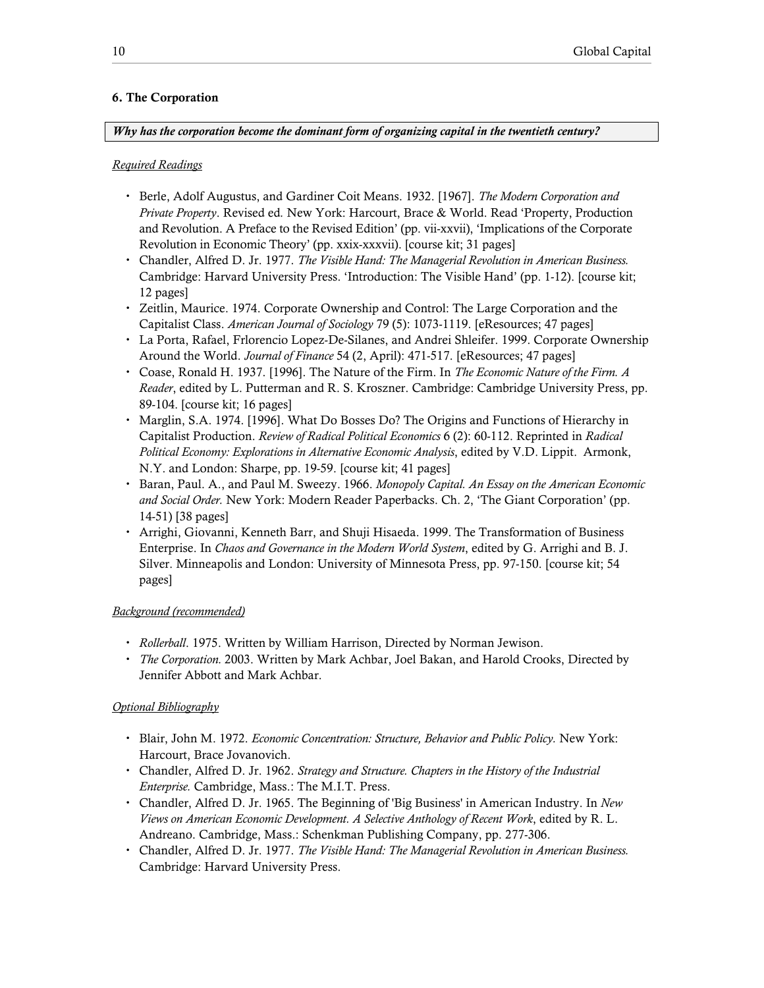## 6. The Corporation

Why has the corporation become the dominant form of organizing capital in the twentieth century?

### Required Readings

- Berle, Adolf Augustus, and Gardiner Coit Means. 1932. [1967]. The Modern Corporation and Private Property. Revised ed. New York: Harcourt, Brace & World. Read 'Property, Production and Revolution. A Preface to the Revised Edition' (pp. vii-xxvii), 'Implications of the Corporate Revolution in Economic Theory' (pp. xxix-xxxvii). [course kit; 31 pages]
- Chandler, Alfred D. Jr. 1977. The Visible Hand: The Managerial Revolution in American Business. Cambridge: Harvard University Press. 'Introduction: The Visible Hand' (pp. 1-12). [course kit; 12 pages]
- Zeitlin, Maurice. 1974. Corporate Ownership and Control: The Large Corporation and the Capitalist Class. American Journal of Sociology 79 (5): 1073-1119. [eResources; 47 pages]
- La Porta, Rafael, Frlorencio Lopez-De-Silanes, and Andrei Shleifer. 1999. Corporate Ownership Around the World. Journal of Finance 54 (2, April): 471-517. [eResources; 47 pages]
- Coase, Ronald H. 1937. [1996]. The Nature of the Firm. In The Economic Nature of the Firm. A Reader, edited by L. Putterman and R. S. Kroszner. Cambridge: Cambridge University Press, pp. 89-104. [course kit; 16 pages]
- Marglin, S.A. 1974. [1996]. What Do Bosses Do? The Origins and Functions of Hierarchy in Capitalist Production. Review of Radical Political Economics 6 (2): 60-112. Reprinted in Radical Political Economy: Explorations in Alternative Economic Analysis, edited by V.D. Lippit. Armonk, N.Y. and London: Sharpe, pp. 19-59. [course kit; 41 pages]
- Baran, Paul. A., and Paul M. Sweezy. 1966. Monopoly Capital. An Essay on the American Economic and Social Order. New York: Modern Reader Paperbacks. Ch. 2, 'The Giant Corporation' (pp. 14-51) [38 pages]
- Arrighi, Giovanni, Kenneth Barr, and Shuji Hisaeda. 1999. The Transformation of Business Enterprise. In Chaos and Governance in the Modern World System, edited by G. Arrighi and B. J. Silver. Minneapolis and London: University of Minnesota Press, pp. 97-150. [course kit; 54 pages]

### Background (recommended)

- Rollerball. 1975. Written by William Harrison, Directed by Norman Jewison.
- The Corporation. 2003. Written by Mark Achbar, Joel Bakan, and Harold Crooks, Directed by Jennifer Abbott and Mark Achbar.

- Blair, John M. 1972. Economic Concentration: Structure, Behavior and Public Policy. New York: Harcourt, Brace Jovanovich.
- Chandler, Alfred D. Jr. 1962. Strategy and Structure. Chapters in the History of the Industrial Enterprise. Cambridge, Mass.: The M.I.T. Press.
- Chandler, Alfred D. Jr. 1965. The Beginning of 'Big Business' in American Industry. In New Views on American Economic Development. A Selective Anthology of Recent Work, edited by R. L. Andreano. Cambridge, Mass.: Schenkman Publishing Company, pp. 277-306.
- Chandler, Alfred D. Jr. 1977. The Visible Hand: The Managerial Revolution in American Business. Cambridge: Harvard University Press.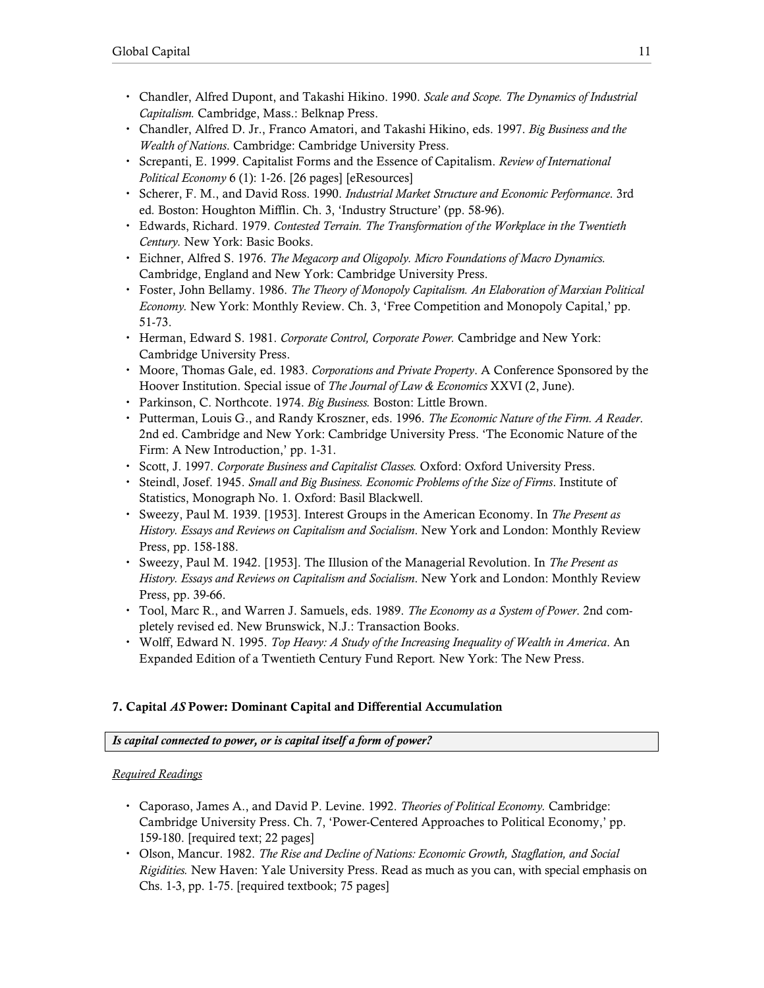- Chandler, Alfred Dupont, and Takashi Hikino. 1990. Scale and Scope. The Dynamics of Industrial Capitalism. Cambridge, Mass.: Belknap Press.
- Chandler, Alfred D. Jr., Franco Amatori, and Takashi Hikino, eds. 1997. Big Business and the Wealth of Nations. Cambridge: Cambridge University Press.
- Screpanti, E. 1999. Capitalist Forms and the Essence of Capitalism. Review of International Political Economy 6 (1): 1-26. [26 pages] [eResources]
- Scherer, F. M., and David Ross. 1990. Industrial Market Structure and Economic Performance. 3rd ed. Boston: Houghton Mifflin. Ch. 3, 'Industry Structure' (pp. 58-96).
- Edwards, Richard. 1979. Contested Terrain. The Transformation of the Workplace in the Twentieth Century. New York: Basic Books.
- Eichner, Alfred S. 1976. The Megacorp and Oligopoly. Micro Foundations of Macro Dynamics. Cambridge, England and New York: Cambridge University Press.
- Foster, John Bellamy. 1986. The Theory of Monopoly Capitalism. An Elaboration of Marxian Political Economy. New York: Monthly Review. Ch. 3, 'Free Competition and Monopoly Capital,' pp. 51-73.
- Herman, Edward S. 1981. Corporate Control, Corporate Power. Cambridge and New York: Cambridge University Press.
- Moore, Thomas Gale, ed. 1983. Corporations and Private Property. A Conference Sponsored by the Hoover Institution. Special issue of The Journal of Law & Economics XXVI (2, June).
- Parkinson, C. Northcote. 1974. Big Business. Boston: Little Brown.
- Putterman, Louis G., and Randy Kroszner, eds. 1996. The Economic Nature of the Firm. A Reader. 2nd ed. Cambridge and New York: Cambridge University Press. 'The Economic Nature of the Firm: A New Introduction,' pp. 1-31.
- Scott, J. 1997. Corporate Business and Capitalist Classes. Oxford: Oxford University Press.
- Steindl, Josef. 1945. Small and Big Business. Economic Problems of the Size of Firms. Institute of Statistics, Monograph No. 1. Oxford: Basil Blackwell.
- Sweezy, Paul M. 1939. [1953]. Interest Groups in the American Economy. In The Present as History. Essays and Reviews on Capitalism and Socialism. New York and London: Monthly Review Press, pp. 158-188.
- Sweezy, Paul M. 1942. [1953]. The Illusion of the Managerial Revolution. In The Present as History. Essays and Reviews on Capitalism and Socialism. New York and London: Monthly Review Press, pp. 39-66.
- Tool, Marc R., and Warren J. Samuels, eds. 1989. The Economy as a System of Power. 2nd completely revised ed. New Brunswick, N.J.: Transaction Books.
- Wolff, Edward N. 1995. Top Heavy: A Study of the Increasing Inequality of Wealth in America. An Expanded Edition of a Twentieth Century Fund Report. New York: The New Press.

# 7. Capital AS Power: Dominant Capital and Differential Accumulation

# Is capital connected to power, or is capital itself a form of power?

# Required Readings

- Caporaso, James A., and David P. Levine. 1992. Theories of Political Economy. Cambridge: Cambridge University Press. Ch. 7, 'Power-Centered Approaches to Political Economy,' pp. 159-180. [required text; 22 pages]
- Olson, Mancur. 1982. The Rise and Decline of Nations: Economic Growth, Stagflation, and Social Rigidities. New Haven: Yale University Press. Read as much as you can, with special emphasis on Chs. 1-3, pp. 1-75. [required textbook; 75 pages]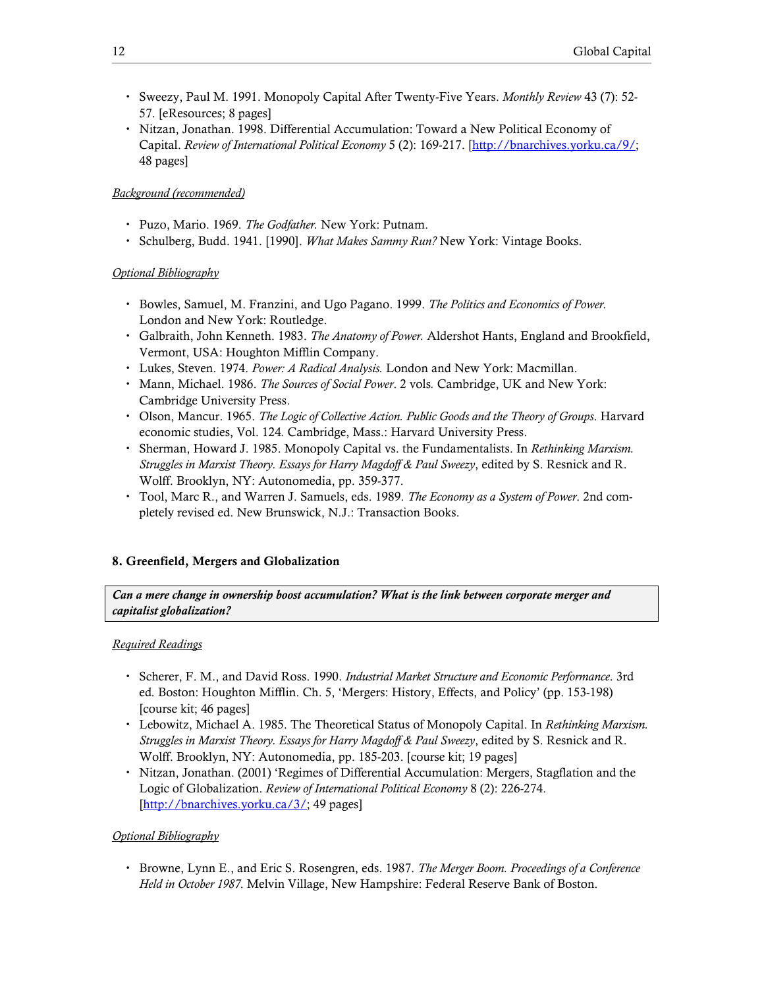- Sweezy, Paul M. 1991. Monopoly Capital After Twenty-Five Years. Monthly Review 43 (7): 52- 57. [eResources; 8 pages]
- Nitzan, Jonathan. 1998. Differential Accumulation: Toward a New Political Economy of Capital. Review of International Political Economy 5 (2): 169-217. [http://bnarchives.yorku.ca/9/; 48 pages]

## Background (recommended)

- Puzo, Mario. 1969. The Godfather. New York: Putnam.
- Schulberg, Budd. 1941. [1990]. What Makes Sammy Run? New York: Vintage Books.

## Optional Bibliography

- Bowles, Samuel, M. Franzini, and Ugo Pagano. 1999. The Politics and Economics of Power. London and New York: Routledge.
- Galbraith, John Kenneth. 1983. The Anatomy of Power. Aldershot Hants, England and Brookfield, Vermont, USA: Houghton Mifflin Company.
- Lukes, Steven. 1974. Power: A Radical Analysis. London and New York: Macmillan.
- Mann, Michael. 1986. The Sources of Social Power. 2 vols. Cambridge, UK and New York: Cambridge University Press.
- Olson, Mancur. 1965. The Logic of Collective Action. Public Goods and the Theory of Groups. Harvard economic studies, Vol. 124. Cambridge, Mass.: Harvard University Press.
- Sherman, Howard J. 1985. Monopoly Capital vs. the Fundamentalists. In Rethinking Marxism. Struggles in Marxist Theory. Essays for Harry Magdoff & Paul Sweezy, edited by S. Resnick and R. Wolff. Brooklyn, NY: Autonomedia, pp. 359-377.
- Tool, Marc R., and Warren J. Samuels, eds. 1989. The Economy as a System of Power. 2nd completely revised ed. New Brunswick, N.J.: Transaction Books.

# 8. Greenfield, Mergers and Globalization

Can a mere change in ownership boost accumulation? What is the link between corporate merger and capitalist globalization?

### Required Readings

- Scherer, F. M., and David Ross. 1990. Industrial Market Structure and Economic Performance. 3rd ed. Boston: Houghton Mifflin. Ch. 5, 'Mergers: History, Effects, and Policy' (pp. 153-198) [course kit; 46 pages]
- Lebowitz, Michael A. 1985. The Theoretical Status of Monopoly Capital. In Rethinking Marxism. Struggles in Marxist Theory. Essays for Harry Magdoff & Paul Sweezy, edited by S. Resnick and R. Wolff. Brooklyn, NY: Autonomedia, pp. 185-203. [course kit; 19 pages]
- Nitzan, Jonathan. (2001) 'Regimes of Differential Accumulation: Mergers, Stagflation and the Logic of Globalization. Review of International Political Economy 8 (2): 226-274. [http://bnarchives.yorku.ca/3/; 49 pages]

### Optional Bibliography

Browne, Lynn E., and Eric S. Rosengren, eds. 1987. The Merger Boom. Proceedings of a Conference Held in October 1987. Melvin Village, New Hampshire: Federal Reserve Bank of Boston.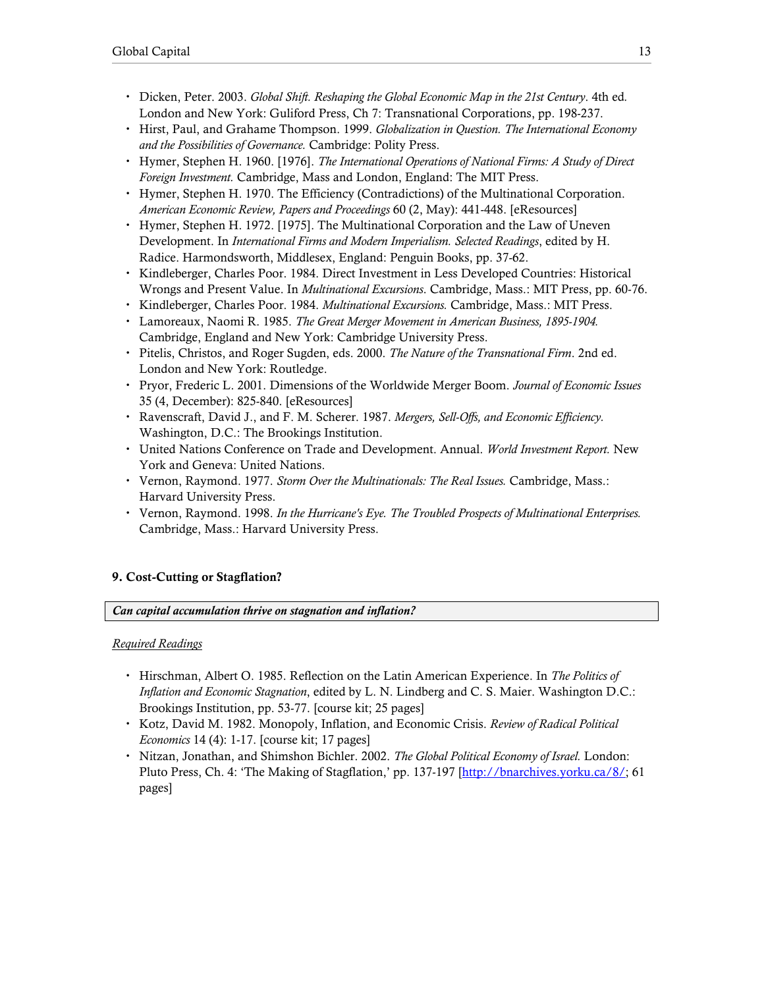- Dicken, Peter. 2003. Global Shift. Reshaping the Global Economic Map in the 21st Century. 4th ed. London and New York: Guliford Press, Ch 7: Transnational Corporations, pp. 198-237.
- Hirst, Paul, and Grahame Thompson. 1999. Globalization in Question. The International Economy and the Possibilities of Governance. Cambridge: Polity Press.
- Hymer, Stephen H. 1960. [1976]. The International Operations of National Firms: A Study of Direct Foreign Investment. Cambridge, Mass and London, England: The MIT Press.
- Hymer, Stephen H. 1970. The Efficiency (Contradictions) of the Multinational Corporation. American Economic Review, Papers and Proceedings 60 (2, May): 441-448. [eResources]
- Hymer, Stephen H. 1972. [1975]. The Multinational Corporation and the Law of Uneven Development. In International Firms and Modern Imperialism. Selected Readings, edited by H. Radice. Harmondsworth, Middlesex, England: Penguin Books, pp. 37-62.
- Kindleberger, Charles Poor. 1984. Direct Investment in Less Developed Countries: Historical Wrongs and Present Value. In *Multinational Excursions*. Cambridge, Mass.: MIT Press, pp. 60-76.
- Kindleberger, Charles Poor. 1984. *Multinational Excursions*. Cambridge, Mass.: MIT Press.
- Lamoreaux, Naomi R. 1985. The Great Merger Movement in American Business, 1895-1904. Cambridge, England and New York: Cambridge University Press.
- Pitelis, Christos, and Roger Sugden, eds. 2000. The Nature of the Transnational Firm. 2nd ed. London and New York: Routledge.
- Pryor, Frederic L. 2001. Dimensions of the Worldwide Merger Boom. Journal of Economic Issues 35 (4, December): 825-840. [eResources]
- Ravenscraft, David J., and F. M. Scherer. 1987. Mergers, Sell-Offs, and Economic Efficiency. Washington, D.C.: The Brookings Institution.
- United Nations Conference on Trade and Development. Annual. World Investment Report. New York and Geneva: United Nations.
- Vernon, Raymond. 1977. Storm Over the Multinationals: The Real Issues. Cambridge, Mass.: Harvard University Press.
- Vernon, Raymond. 1998. In the Hurricane's Eye. The Troubled Prospects of Multinational Enterprises. Cambridge, Mass.: Harvard University Press.

# 9. Cost-Cutting or Stagflation?

### Can capital accumulation thrive on stagnation and inflation?

### Required Readings

- Hirschman, Albert O. 1985. Reflection on the Latin American Experience. In The Politics of Inflation and Economic Stagnation, edited by L. N. Lindberg and C. S. Maier. Washington D.C.: Brookings Institution, pp. 53-77. [course kit; 25 pages]
- Kotz, David M. 1982. Monopoly, Inflation, and Economic Crisis. Review of Radical Political Economics 14 (4): 1-17. [course kit; 17 pages]
- Nitzan, Jonathan, and Shimshon Bichler. 2002. The Global Political Economy of Israel. London: Pluto Press, Ch. 4: 'The Making of Stagflation,' pp. 137-197 [http://bnarchives.yorku.ca/8/; 61 pages]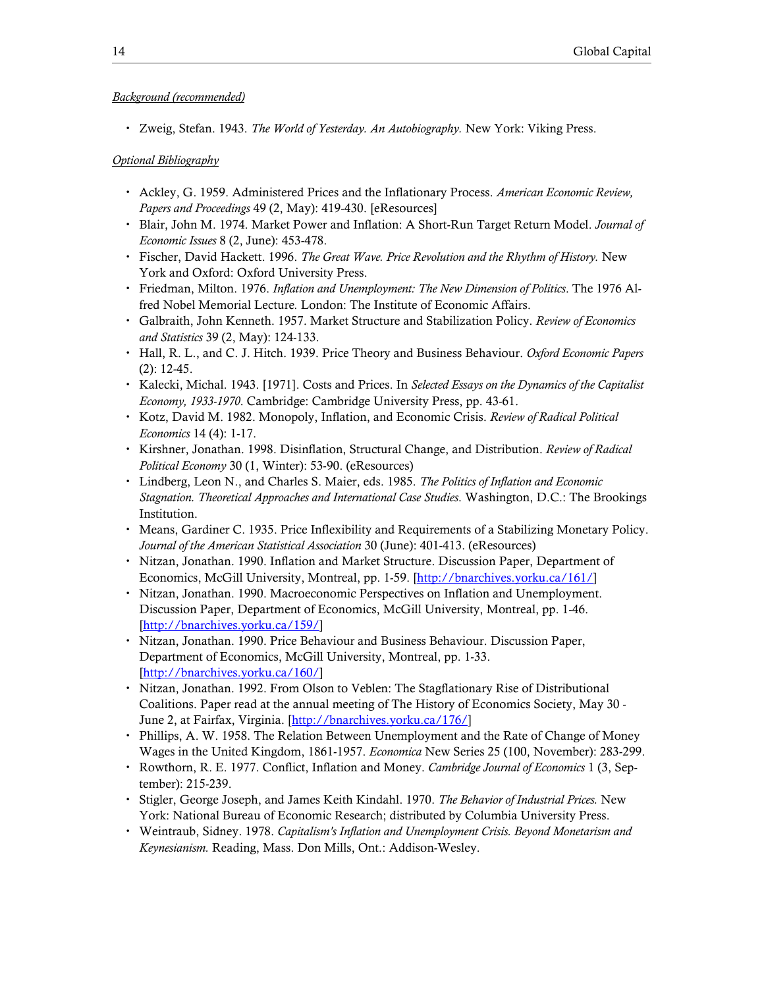## Background (recommended)

• Zweig, Stefan. 1943. The World of Yesterday. An Autobiography. New York: Viking Press.

- Ackley, G. 1959. Administered Prices and the Inflationary Process. American Economic Review, Papers and Proceedings 49 (2, May): 419-430. [eResources]
- Blair, John M. 1974. Market Power and Inflation: A Short-Run Target Return Model. Journal of Economic Issues 8 (2, June): 453-478.
- Fischer, David Hackett. 1996. The Great Wave. Price Revolution and the Rhythm of History. New York and Oxford: Oxford University Press.
- Friedman, Milton. 1976. Inflation and Unemployment: The New Dimension of Politics. The 1976 Alfred Nobel Memorial Lecture. London: The Institute of Economic Affairs.
- Galbraith, John Kenneth. 1957. Market Structure and Stabilization Policy. Review of Economics and Statistics 39 (2, May): 124-133.
- Hall, R. L., and C. J. Hitch. 1939. Price Theory and Business Behaviour. Oxford Economic Papers (2): 12-45.
- Kalecki, Michal. 1943. [1971]. Costs and Prices. In Selected Essays on the Dynamics of the Capitalist Economy, 1933-1970. Cambridge: Cambridge University Press, pp. 43-61.
- Kotz, David M. 1982. Monopoly, Inflation, and Economic Crisis. Review of Radical Political Economics 14 (4): 1-17.
- Kirshner, Jonathan. 1998. Disinflation, Structural Change, and Distribution. Review of Radical Political Economy 30 (1, Winter): 53-90. (eResources)
- Lindberg, Leon N., and Charles S. Maier, eds. 1985. The Politics of Inflation and Economic Stagnation. Theoretical Approaches and International Case Studies. Washington, D.C.: The Brookings Institution.
- Means, Gardiner C. 1935. Price Inflexibility and Requirements of a Stabilizing Monetary Policy. Journal of the American Statistical Association 30 (June): 401-413. (eResources)
- Nitzan, Jonathan. 1990. Inflation and Market Structure. Discussion Paper, Department of Economics, McGill University, Montreal, pp. 1-59. [http://bnarchives.yorku.ca/161/]
- Nitzan, Jonathan. 1990. Macroeconomic Perspectives on Inflation and Unemployment. Discussion Paper, Department of Economics, McGill University, Montreal, pp. 1-46. [http://bnarchives.yorku.ca/159/]
- Nitzan, Jonathan. 1990. Price Behaviour and Business Behaviour. Discussion Paper, Department of Economics, McGill University, Montreal, pp. 1-33. [http://bnarchives.yorku.ca/160/]
- Nitzan, Jonathan. 1992. From Olson to Veblen: The Stagflationary Rise of Distributional Coalitions. Paper read at the annual meeting of The History of Economics Society, May 30 - June 2, at Fairfax, Virginia. [http://bnarchives.yorku.ca/176/]
- Phillips, A. W. 1958. The Relation Between Unemployment and the Rate of Change of Money Wages in the United Kingdom, 1861-1957. *Economica* New Series 25 (100, November): 283-299.
- Rowthorn, R. E. 1977. Conflict, Inflation and Money. Cambridge Journal of Economics 1 (3, September): 215-239.
- Stigler, George Joseph, and James Keith Kindahl. 1970. The Behavior of Industrial Prices. New York: National Bureau of Economic Research; distributed by Columbia University Press.
- Weintraub, Sidney. 1978. Capitalism's Inflation and Unemployment Crisis. Beyond Monetarism and Keynesianism. Reading, Mass. Don Mills, Ont.: Addison-Wesley.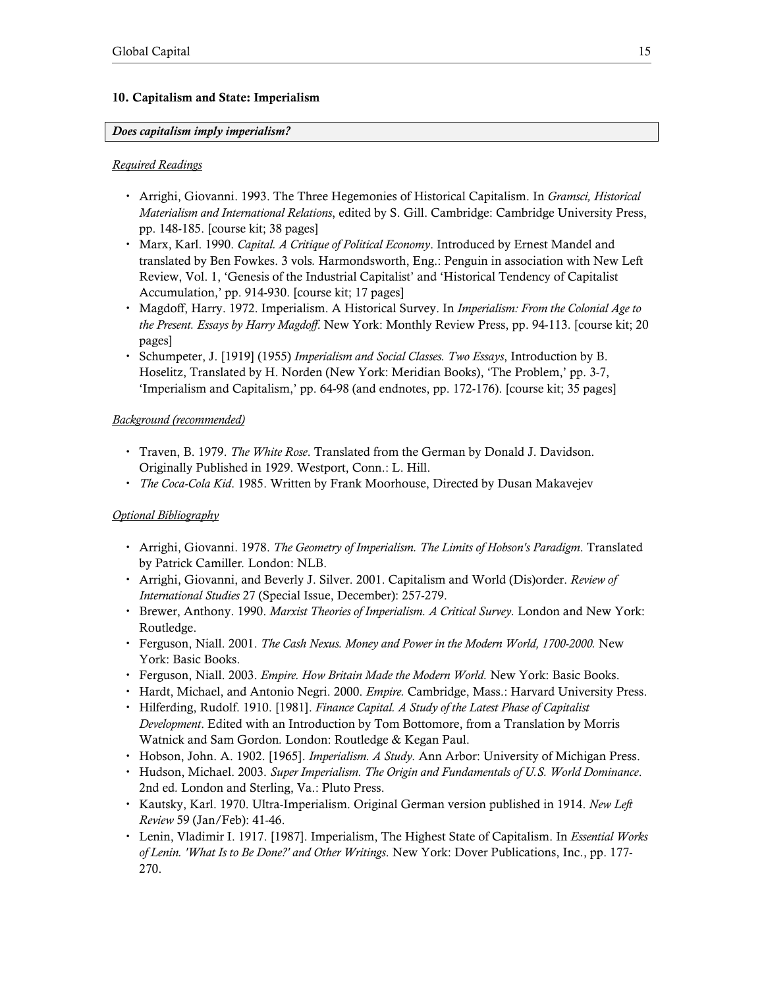# 10. Capitalism and State: Imperialism

# Does capitalism imply imperialism?

# Required Readings

- Arrighi, Giovanni. 1993. The Three Hegemonies of Historical Capitalism. In *Gramsci, Historical* Materialism and International Relations, edited by S. Gill. Cambridge: Cambridge University Press, pp. 148-185. [course kit; 38 pages]
- Marx, Karl. 1990. Capital. A Critique of Political Economy. Introduced by Ernest Mandel and translated by Ben Fowkes. 3 vols. Harmondsworth, Eng.: Penguin in association with New Left Review, Vol. 1, 'Genesis of the Industrial Capitalist' and 'Historical Tendency of Capitalist Accumulation,' pp. 914-930. [course kit; 17 pages]
- Magdoff, Harry. 1972. Imperialism. A Historical Survey. In Imperialism: From the Colonial Age to the Present. Essays by Harry Magdoff. New York: Monthly Review Press, pp. 94-113. [course kit; 20 pages]
- Schumpeter, J. [1919] (1955) Imperialism and Social Classes. Two Essays, Introduction by B. Hoselitz, Translated by H. Norden (New York: Meridian Books), 'The Problem,' pp. 3-7, 'Imperialism and Capitalism,' pp. 64-98 (and endnotes, pp. 172-176). [course kit; 35 pages]

# Background (recommended)

- Traven, B. 1979. The White Rose. Translated from the German by Donald J. Davidson. Originally Published in 1929. Westport, Conn.: L. Hill.
- The Coca-Cola Kid. 1985. Written by Frank Moorhouse, Directed by Dusan Makavejev

- Arrighi, Giovanni. 1978. The Geometry of Imperialism. The Limits of Hobson's Paradigm. Translated by Patrick Camiller. London: NLB.
- Arrighi, Giovanni, and Beverly J. Silver. 2001. Capitalism and World (Dis)order. Review of International Studies 27 (Special Issue, December): 257-279.
- Brewer, Anthony. 1990. Marxist Theories of Imperialism. A Critical Survey. London and New York: Routledge.
- Ferguson, Niall. 2001. The Cash Nexus. Money and Power in the Modern World, 1700-2000. New York: Basic Books.
- Ferguson, Niall. 2003. Empire. How Britain Made the Modern World. New York: Basic Books.
- Hardt, Michael, and Antonio Negri. 2000. *Empire*. Cambridge, Mass.: Harvard University Press.
- Hilferding, Rudolf. 1910. [1981]. Finance Capital. A Study of the Latest Phase of Capitalist Development. Edited with an Introduction by Tom Bottomore, from a Translation by Morris Watnick and Sam Gordon. London: Routledge & Kegan Paul.
- Hobson, John. A. 1902. [1965]. *Imperialism. A Study*. Ann Arbor: University of Michigan Press.
- Hudson, Michael. 2003. Super Imperialism. The Origin and Fundamentals of U.S. World Dominance. 2nd ed. London and Sterling, Va.: Pluto Press.
- Kautsky, Karl. 1970. Ultra-Imperialism. Original German version published in 1914. New Left Review 59 (Jan/Feb): 41-46.
- Lenin, Vladimir I. 1917. [1987]. Imperialism, The Highest State of Capitalism. In Essential Works of Lenin. 'What Is to Be Done?' and Other Writings. New York: Dover Publications, Inc., pp. 177- 270.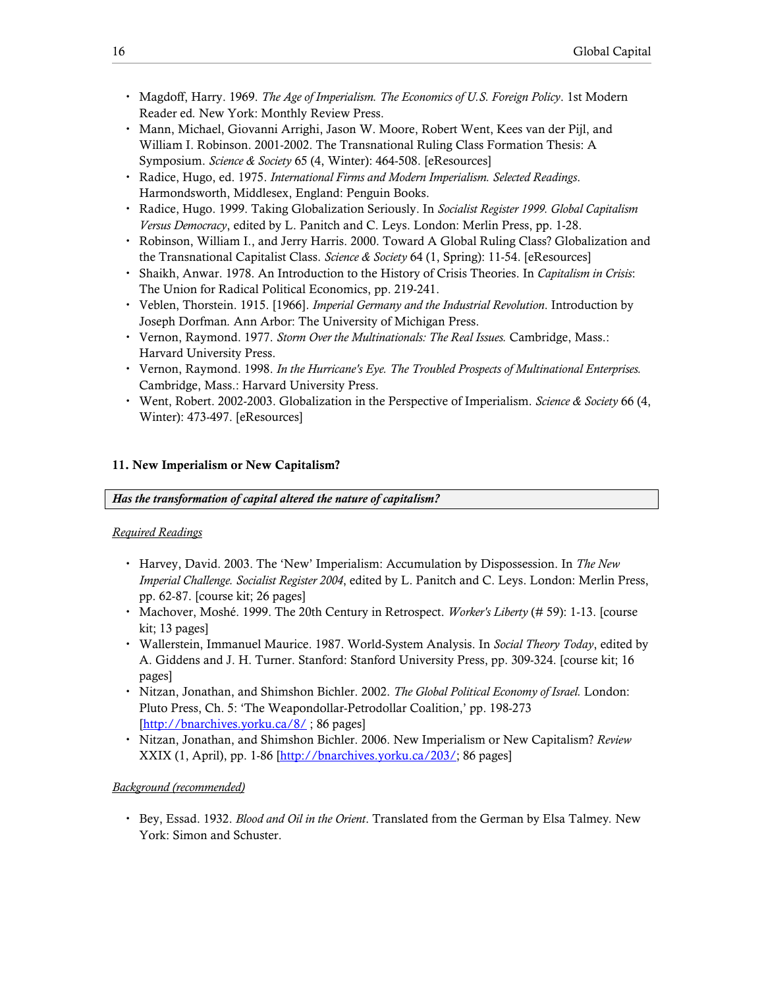- Magdoff, Harry. 1969. The Age of Imperialism. The Economics of U.S. Foreign Policy. 1st Modern Reader ed. New York: Monthly Review Press.
- Mann, Michael, Giovanni Arrighi, Jason W. Moore, Robert Went, Kees van der Pijl, and William I. Robinson. 2001-2002. The Transnational Ruling Class Formation Thesis: A Symposium. Science & Society 65 (4, Winter): 464-508. [eResources]
- Radice, Hugo, ed. 1975. International Firms and Modern Imperialism. Selected Readings. Harmondsworth, Middlesex, England: Penguin Books.
- Radice, Hugo. 1999. Taking Globalization Seriously. In Socialist Register 1999. Global Capitalism Versus Democracy, edited by L. Panitch and C. Leys. London: Merlin Press, pp. 1-28.
- Robinson, William I., and Jerry Harris. 2000. Toward A Global Ruling Class? Globalization and the Transnational Capitalist Class. Science & Society 64 (1, Spring): 11-54. [eResources]
- Shaikh, Anwar. 1978. An Introduction to the History of Crisis Theories. In Capitalism in Crisis: The Union for Radical Political Economics, pp. 219-241.
- Veblen, Thorstein. 1915. [1966]. *Imperial Germany and the Industrial Revolution*. Introduction by Joseph Dorfman. Ann Arbor: The University of Michigan Press.
- Vernon, Raymond. 1977. Storm Over the Multinationals: The Real Issues. Cambridge, Mass.: Harvard University Press.
- Vernon, Raymond. 1998. In the Hurricane's Eye. The Troubled Prospects of Multinational Enterprises. Cambridge, Mass.: Harvard University Press.
- Went, Robert. 2002-2003. Globalization in the Perspective of Imperialism. Science & Society 66 (4, Winter): 473-497. [eResources]

## 11. New Imperialism or New Capitalism?

Has the transformation of capital altered the nature of capitalism?

#### Required Readings

- Harvey, David. 2003. The 'New' Imperialism: Accumulation by Dispossession. In The New Imperial Challenge. Socialist Register 2004, edited by L. Panitch and C. Leys. London: Merlin Press, pp. 62-87. [course kit; 26 pages]
- Machover, Moshé. 1999. The 20th Century in Retrospect. *Worker's Liberty* (# 59): 1-13. [course kit; 13 pages]
- Wallerstein, Immanuel Maurice. 1987. World-System Analysis. In Social Theory Today, edited by A. Giddens and J. H. Turner. Stanford: Stanford University Press, pp. 309-324. [course kit; 16 pages]
- Nitzan, Jonathan, and Shimshon Bichler. 2002. The Global Political Economy of Israel. London: Pluto Press, Ch. 5: 'The Weapondollar-Petrodollar Coalition,' pp. 198-273 [http://bnarchives.yorku.ca/8/; 86 pages]
- Nitzan, Jonathan, and Shimshon Bichler. 2006. New Imperialism or New Capitalism? Review XXIX (1, April), pp. 1-86 [http://bnarchives.yorku.ca/203/; 86 pages]

#### Background (recommended)

Bey, Essad. 1932. Blood and Oil in the Orient. Translated from the German by Elsa Talmey. New York: Simon and Schuster.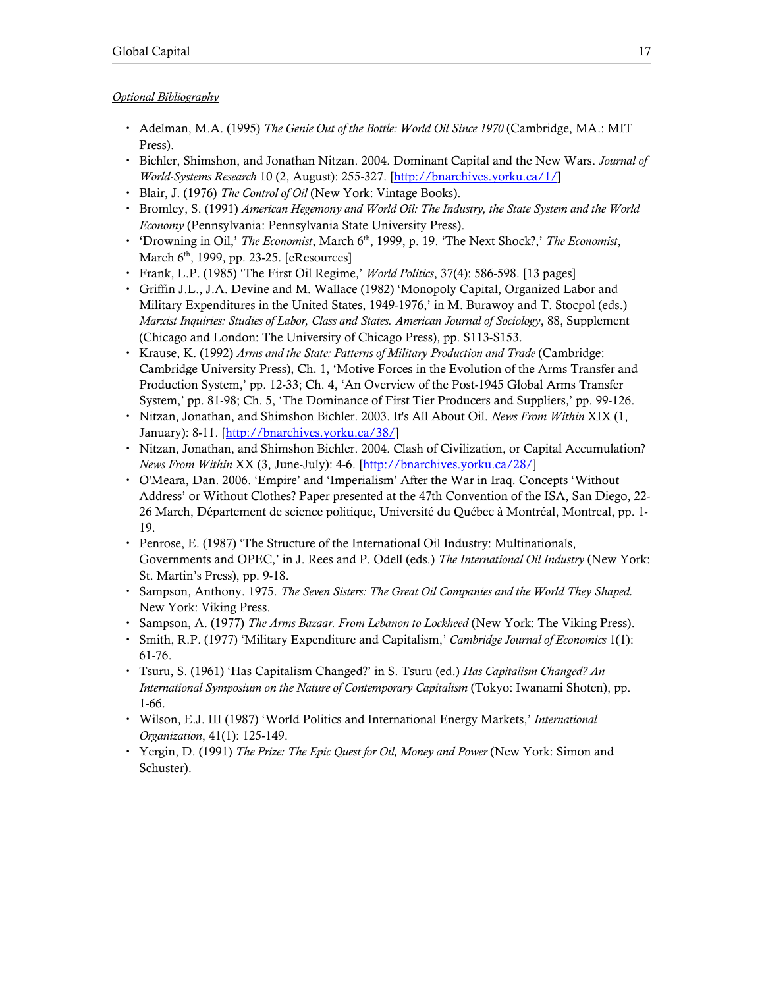- Adelman, M.A. (1995) The Genie Out of the Bottle: World Oil Since 1970 (Cambridge, MA.: MIT Press).
- Bichler, Shimshon, and Jonathan Nitzan. 2004. Dominant Capital and the New Wars. Journal of World-Systems Research 10 (2, August): 255-327. [http://bnarchives.yorku.ca/1/]
- Blair, J. (1976) The Control of Oil (New York: Vintage Books).
- Bromley, S. (1991) American Hegemony and World Oil: The Industry, the State System and the World Economy (Pennsylvania: Pennsylvania State University Press).
- ' 'Drowning in Oil,' The Economist, March 6<sup>th</sup>, 1999, p. 19. 'The Next Shock?,' The Economist, March  $6<sup>th</sup>$ , 1999, pp. 23-25. [eResources]
- Frank, L.P. (1985) 'The First Oil Regime,' *World Politics*, 37(4): 586-598. [13 pages]
- Griffin J.L., J.A. Devine and M. Wallace (1982) 'Monopoly Capital, Organized Labor and Military Expenditures in the United States, 1949-1976,' in M. Burawoy and T. Stocpol (eds.) Marxist Inquiries: Studies of Labor, Class and States. American Journal of Sociology, 88, Supplement (Chicago and London: The University of Chicago Press), pp. S113-S153.
- Krause, K. (1992) Arms and the State: Patterns of Military Production and Trade (Cambridge: Cambridge University Press), Ch. 1, 'Motive Forces in the Evolution of the Arms Transfer and Production System,' pp. 12-33; Ch. 4, 'An Overview of the Post-1945 Global Arms Transfer System,' pp. 81-98; Ch. 5, 'The Dominance of First Tier Producers and Suppliers,' pp. 99-126.
- Nitzan, Jonathan, and Shimshon Bichler. 2003. It's All About Oil. News From Within XIX (1, January): 8-11. [http://bnarchives.yorku.ca/38/]
- Nitzan, Jonathan, and Shimshon Bichler. 2004. Clash of Civilization, or Capital Accumulation? News From Within XX (3, June-July): 4-6. [http://bnarchives.yorku.ca/28/]
- O'Meara, Dan. 2006. 'Empire' and 'Imperialism' After the War in Iraq. Concepts 'Without Address' or Without Clothes? Paper presented at the 47th Convention of the ISA, San Diego, 22- 26 March, Département de science politique, Université du Québec à Montréal, Montreal, pp. 1- 19.
- Penrose, E. (1987) 'The Structure of the International Oil Industry: Multinationals, Governments and OPEC,' in J. Rees and P. Odell (eds.) The International Oil Industry (New York: St. Martin's Press), pp. 9-18.
- Sampson, Anthony. 1975. The Seven Sisters: The Great Oil Companies and the World They Shaped. New York: Viking Press.
- Sampson, A. (1977) The Arms Bazaar. From Lebanon to Lockheed (New York: The Viking Press).
- Smith, R.P. (1977) 'Military Expenditure and Capitalism,' Cambridge Journal of Economics 1(1): 61-76.
- Tsuru, S. (1961) 'Has Capitalism Changed?' in S. Tsuru (ed.) Has Capitalism Changed? An International Symposium on the Nature of Contemporary Capitalism (Tokyo: Iwanami Shoten), pp. 1-66.
- Wilson, E.J. III (1987) 'World Politics and International Energy Markets,' International Organization, 41(1): 125-149.
- Yergin, D. (1991) The Prize: The Epic Quest for Oil, Money and Power (New York: Simon and Schuster).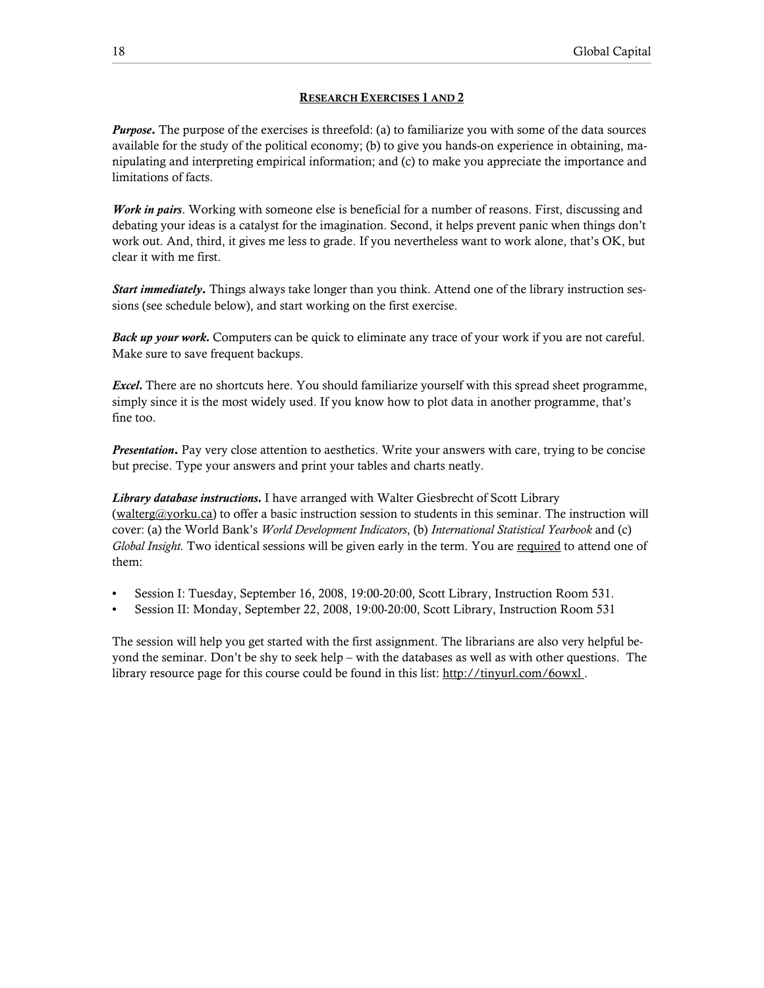### RESEARCH EXERCISES 1 AND 2

**Purpose.** The purpose of the exercises is threefold: (a) to familiarize you with some of the data sources available for the study of the political economy; (b) to give you hands-on experience in obtaining, manipulating and interpreting empirical information; and (c) to make you appreciate the importance and limitations of facts.

Work in pairs. Working with someone else is beneficial for a number of reasons. First, discussing and debating your ideas is a catalyst for the imagination. Second, it helps prevent panic when things don't work out. And, third, it gives me less to grade. If you nevertheless want to work alone, that's OK, but clear it with me first.

**Start immediately.** Things always take longer than you think. Attend one of the library instruction sessions (see schedule below), and start working on the first exercise.

Back up your work. Computers can be quick to eliminate any trace of your work if you are not careful. Make sure to save frequent backups.

Excel. There are no shortcuts here. You should familiarize yourself with this spread sheet programme, simply since it is the most widely used. If you know how to plot data in another programme, that's fine too.

**Presentation.** Pay very close attention to aesthetics. Write your answers with care, trying to be concise but precise. Type your answers and print your tables and charts neatly.

Library database instructions. I have arranged with Walter Giesbrecht of Scott Library (walterg@yorku.ca) to offer a basic instruction session to students in this seminar. The instruction will cover: (a) the World Bank's World Development Indicators, (b) International Statistical Yearbook and (c) Global Insight. Two identical sessions will be given early in the term. You are required to attend one of them:

- Session I: Tuesday, September 16, 2008, 19:00-20:00, Scott Library, Instruction Room 531.
- Session II: Monday, September 22, 2008, 19:00-20:00, Scott Library, Instruction Room 531

The session will help you get started with the first assignment. The librarians are also very helpful beyond the seminar. Don't be shy to seek help – with the databases as well as with other questions. The library resource page for this course could be found in this list: http://tinyurl.com/6owxl.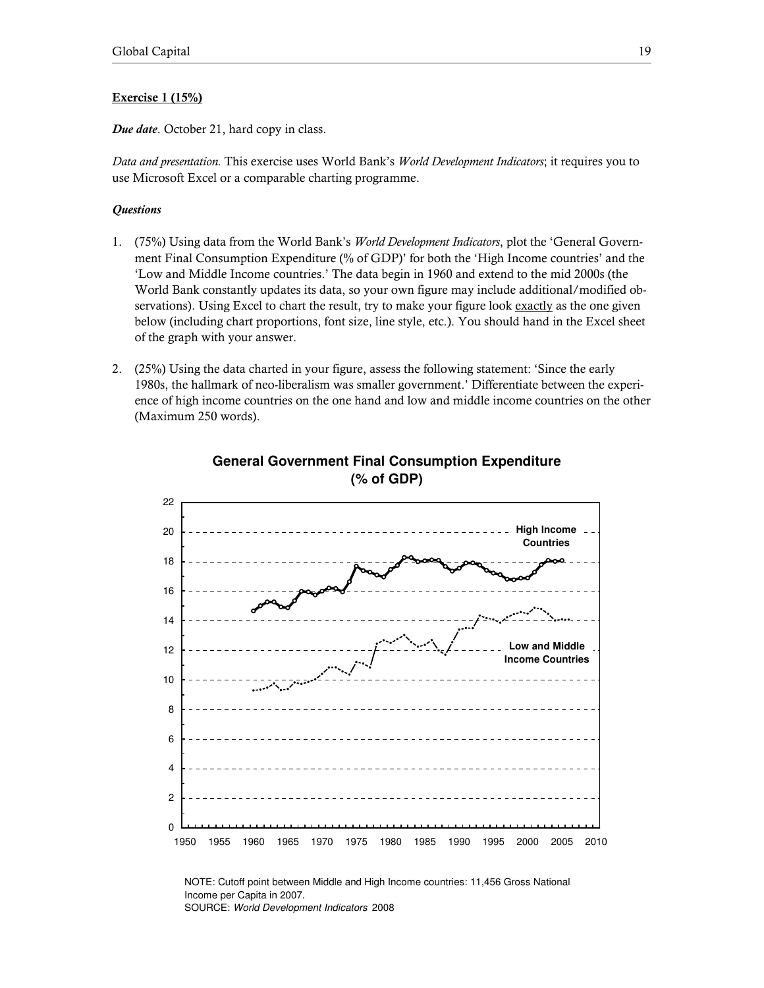## Exercise 1 (15%)

Due date. October 21, hard copy in class.

Data and presentation. This exercise uses World Bank's World Development Indicators; it requires you to use Microsoft Excel or a comparable charting programme.

## **Questions**

- 1. (75%) Using data from the World Bank's World Development Indicators, plot the 'General Government Final Consumption Expenditure (% of GDP)' for both the 'High Income countries' and the 'Low and Middle Income countries.' The data begin in 1960 and extend to the mid 2000s (the World Bank constantly updates its data, so your own figure may include additional/modified observations). Using Excel to chart the result, try to make your figure look exactly as the one given below (including chart proportions, font size, line style, etc.). You should hand in the Excel sheet of the graph with your answer.
- 2. (25%) Using the data charted in your figure, assess the following statement: 'Since the early 1980s, the hallmark of neo-liberalism was smaller government.' Differentiate between the experience of high income countries on the one hand and low and middle income countries on the other (Maximum 250 words).



# **General Government Final Consumption Expenditure (% of GDP)**

NOTE: Cutoff point between Middle and High Income countries: 11,456 Gross National Income per Capita in 2007. SOURCE: World Development Indicators 2008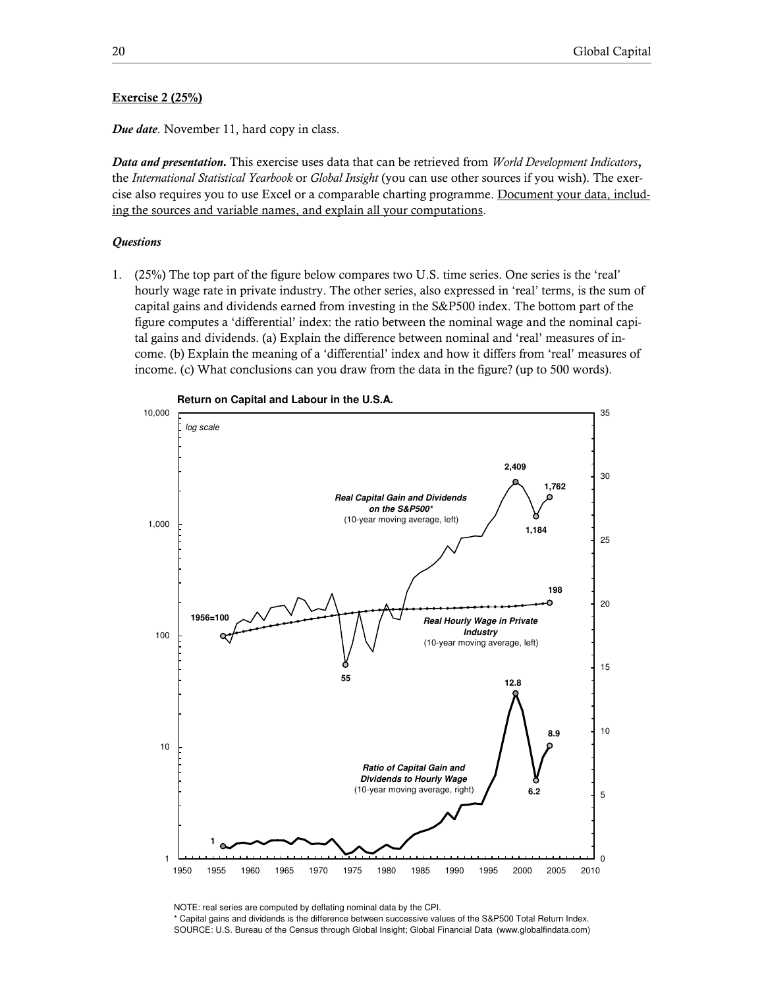## Exercise 2 (25%)

Due date. November 11, hard copy in class.

Data and presentation. This exercise uses data that can be retrieved from World Development Indicators, the International Statistical Yearbook or Global Insight (you can use other sources if you wish). The exercise also requires you to use Excel or a comparable charting programme. Document your data, including the sources and variable names, and explain all your computations.

#### **Questions**

1. (25%) The top part of the figure below compares two U.S. time series. One series is the 'real' hourly wage rate in private industry. The other series, also expressed in 'real' terms, is the sum of capital gains and dividends earned from investing in the S&P500 index. The bottom part of the figure computes a 'differential' index: the ratio between the nominal wage and the nominal capital gains and dividends. (a) Explain the difference between nominal and 'real' measures of income. (b) Explain the meaning of a 'differential' index and how it differs from 'real' measures of income. (c) What conclusions can you draw from the data in the figure? (up to 500 words).



NOTE: real series are computed by deflating nominal data by the CPI.

\* Capital gains and dividends is the difference between successive values of the S&P500 Total Return Index. SOURCE: U.S. Bureau of the Census through Global Insight; Global Financial Data (www.globalfindata.com)

**Return on Capital and Labour in the U.S.A.**